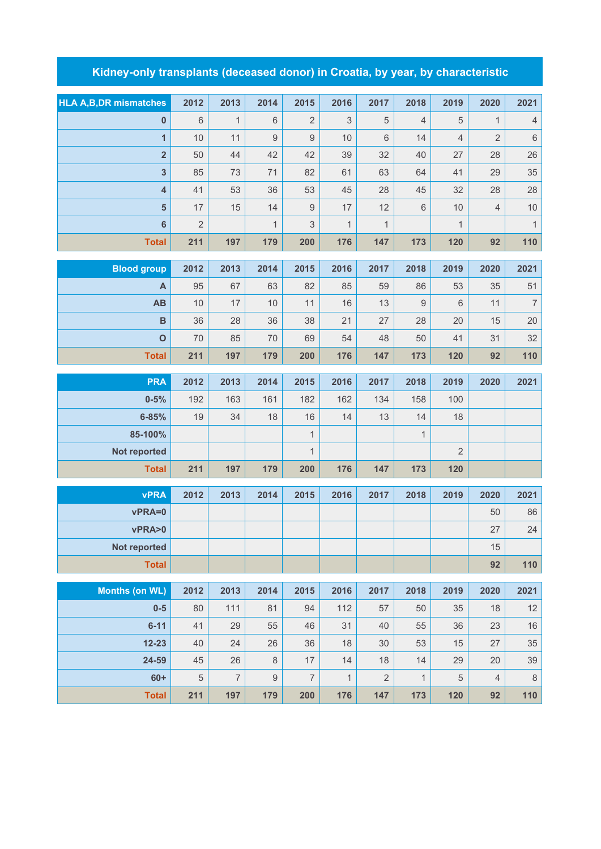## **Kidney-only transplants (deceased donor) in Croatia, by year, by characteristic**

| <b>HLA A,B,DR mismatches</b> | 2012    | 2013           | 2014             | 2015           | 2016         | 2017           | 2018             | 2019           | 2020           | 2021           |
|------------------------------|---------|----------------|------------------|----------------|--------------|----------------|------------------|----------------|----------------|----------------|
| $\mathbf 0$                  | $\,6\,$ | $\mathbf{1}$   | 6                | $\overline{2}$ | 3            | 5              | $\overline{4}$   | 5              | $\mathbf{1}$   | $\overline{4}$ |
| $\overline{1}$               | 10      | 11             | $\mathsf g$      | $\mathsf g$    | 10           | 6              | 14               | $\overline{4}$ | $\sqrt{2}$     | $\,$ 6 $\,$    |
| $\overline{\mathbf{2}}$      | 50      | 44             | 42               | 42             | 39           | 32             | 40               | 27             | 28             | 26             |
| 3                            | 85      | 73             | 71               | 82             | 61           | 63             | 64               | 41             | 29             | 35             |
| $\overline{\mathbf{4}}$      | 41      | 53             | 36               | 53             | 45           | 28             | 45               | 32             | 28             | 28             |
| $5\phantom{.0}$              | 17      | 15             | 14               | $\hbox{9}$     | 17           | 12             | $6\,$            | $10$           | $\overline{4}$ | 10             |
| $\bf 6$                      | 2       |                | $\mathbf{1}$     | $\mathfrak{S}$ | $\mathbf{1}$ | $\mathbf{1}$   |                  | $\mathbf{1}$   |                | $\mathbf{1}$   |
| <b>Total</b>                 | 211     | 197            | 179              | 200            | 176          | 147            | 173              | 120            | 92             | 110            |
| <b>Blood group</b>           | 2012    | 2013           | 2014             | 2015           | 2016         | 2017           | 2018             | 2019           | 2020           | 2021           |
| A                            | 95      | 67             | 63               | 82             | 85           | 59             | 86               | 53             | 35             | 51             |
| AB                           | 10      | 17             | 10               | 11             | 16           | 13             | $\boldsymbol{9}$ | 6              | 11             | $\overline{7}$ |
| B                            | 36      | 28             | 36               | 38             | 21           | 27             | 28               | 20             | 15             | 20             |
| $\mathbf 0$                  | 70      | 85             | 70               | 69             | 54           | 48             | 50               | 41             | 31             | 32             |
| <b>Total</b>                 | 211     | 197            | 179              | 200            | 176          | 147            | 173              | 120            | 92             | 110            |
|                              |         |                |                  |                |              |                |                  |                |                |                |
| <b>PRA</b>                   | 2012    | 2013           | 2014             | 2015           | 2016         | 2017           | 2018             | 2019           | 2020           | 2021           |
| $0 - 5%$                     | 192     | 163            | 161              | 182            | 162          | 134            | 158              | 100            |                |                |
| $6 - 85%$                    | 19      | 34             | 18               | 16             | 14           | 13             | 14               | 18             |                |                |
| 85-100%                      |         |                |                  | $\mathbf{1}$   |              |                | $\mathbf{1}$     |                |                |                |
| Not reported                 |         |                |                  | $\mathbf{1}$   |              |                |                  | $\sqrt{2}$     |                |                |
| <b>Total</b>                 | 211     | 197            | 179              | 200            | 176          | 147            | 173              | 120            |                |                |
| <b>vPRA</b>                  | 2012    | 2013           | 2014             | 2015           | 2016         | 2017           | 2018             | 2019           | 2020           | 2021           |
| vPRA=0                       |         |                |                  |                |              |                |                  |                | 50             | 86             |
| vPRA>0                       |         |                |                  |                |              |                |                  |                | 27             | 24             |
| Not reported                 |         |                |                  |                |              |                |                  |                | 15             |                |
| <b>Total</b>                 |         |                |                  |                |              |                |                  |                | 92             | 110            |
|                              |         |                |                  |                |              |                |                  |                |                |                |
| <b>Months (on WL)</b>        | 2012    | 2013           | 2014             | 2015           | 2016         | 2017           | 2018             | 2019           | 2020           | 2021           |
| $0-5$                        | 80      | 111            | 81               | 94             | 112          | 57             | 50               | 35             | 18             | 12             |
| $6 - 11$                     | 41      | 29             | 55               | 46             | 31           | 40             | 55               | 36             | 23             | $16$           |
| $12 - 23$                    | 40      | 24             | 26               | 36             | 18           | 30             | 53               | 15             | 27             | 35             |
| 24-59                        | 45      | 26             | 8                | 17             | 14           | 18             | 14               | 29             | 20             | 39             |
| $60+$                        | 5       | $\overline{7}$ | $\boldsymbol{9}$ | $\overline{7}$ | $\mathbf{1}$ | $\overline{2}$ | 1                | 5              | $\overline{4}$ | $\,8\,$        |
| <b>Total</b>                 | 211     | 197            | 179              | 200            | 176          | 147            | 173              | 120            | 92             | 110            |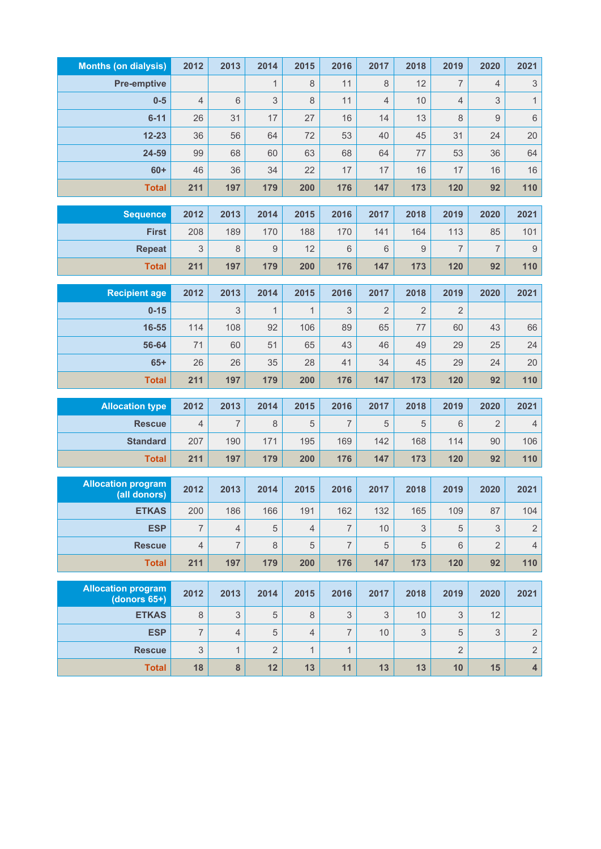| <b>Months (on dialysis)</b>               | 2012                      | 2013           | 2014           | 2015           | 2016           | 2017           | 2018 | 2019           | 2020           | 2021                      |
|-------------------------------------------|---------------------------|----------------|----------------|----------------|----------------|----------------|------|----------------|----------------|---------------------------|
| <b>Pre-emptive</b>                        |                           |                | $\mathbf{1}$   | $\,8\,$        | 11             | 8              | 12   | $\overline{7}$ | $\overline{4}$ | $\ensuremath{\mathsf{3}}$ |
| $0-5$                                     | $\sqrt{4}$                | $\,6$          | 3              | 8              | 11             | $\overline{4}$ | 10   | 4              | 3              | $\mathbf{1}$              |
| $6 - 11$                                  | 26                        | 31             | 17             | 27             | 16             | 14             | 13   | 8              | 9              | $\,$ 6 $\,$               |
| $12 - 23$                                 | 36                        | 56             | 64             | 72             | 53             | 40             | 45   | 31             | 24             | 20                        |
| 24-59                                     | 99                        | 68             | 60             | 63             | 68             | 64             | 77   | 53             | 36             | 64                        |
| $60+$                                     | 46                        | 36             | 34             | 22             | 17             | 17             | 16   | 17             | 16             | 16                        |
| <b>Total</b>                              | 211                       | 197            | 179            | 200            | 176            | 147            | 173  | 120            | 92             | 110                       |
| <b>Sequence</b>                           | 2012                      | 2013           | 2014           | 2015           | 2016           | 2017           | 2018 | 2019           | 2020           | 2021                      |
| <b>First</b>                              | 208                       | 189            | 170            | 188            | 170            | 141            | 164  | 113            | 85             | 101                       |
| <b>Repeat</b>                             | 3                         | 8              | 9              | 12             | 6              | 6              | 9    | 7              | $\overline{7}$ | $\mathbf 9$               |
| <b>Total</b>                              | 211                       | 197            | 179            | 200            | 176            | 147            | 173  | 120            | 92             | 110                       |
|                                           |                           |                |                |                |                |                |      |                |                |                           |
| <b>Recipient age</b>                      | 2012                      | 2013           | 2014           | 2015           | 2016           | 2017           | 2018 | 2019           | 2020           | 2021                      |
| $0 - 15$                                  |                           | 3              | $\mathbf{1}$   | $\mathbf{1}$   | 3              | $\overline{2}$ | 2    | $\overline{2}$ |                |                           |
| 16-55                                     | 114                       | 108            | 92             | 106            | 89             | 65             | 77   | 60             | 43             | 66                        |
| 56-64                                     | 71                        | 60             | 51             | 65             | 43             | 46             | 49   | 29             | 25             | 24                        |
| $65+$                                     | 26                        | 26             | 35             | 28             | 41             | 34             | 45   | 29             | 24             | 20                        |
| <b>Total</b>                              | 211                       | 197            | 179            | 200            | 176            | 147            | 173  | 120            | 92             | 110                       |
| <b>Allocation type</b>                    | 2012                      | 2013           | 2014           | 2015           | 2016           | 2017           | 2018 | 2019           | 2020           | 2021                      |
| <b>Rescue</b>                             | $\overline{4}$            | 7              | 8              | 5              | $\overline{7}$ | 5              | 5    | 6              | 2              | $\sqrt{4}$                |
| <b>Standard</b>                           | 207                       | 190            | 171            | 195            | 169            | 142            | 168  | 114            | 90             | 106                       |
| <b>Total</b>                              | 211                       | 197            | 179            | 200            | 176            | 147            | 173  | 120            | 92             | 110                       |
|                                           |                           |                |                |                |                |                |      |                |                |                           |
| <b>Allocation program</b><br>(all donors) | 2012                      | 2013           | 2014           | 2015           | 2016           | 2017           | 2018 | 2019           | 2020           | 2021                      |
| <b>ETKAS</b>                              | 200                       | 186            | 166            | 191            | 162            | 132            | 165  | 109            | 87             | 104                       |
| <b>ESP</b>                                | $\overline{7}$            | $\overline{4}$ | 5              | $\overline{4}$ | $\overline{7}$ | 10             | 3    | 5              | 3              | $\sqrt{2}$                |
| <b>Rescue</b>                             | $\overline{4}$            | 7              | 8              | 5              | $\overline{7}$ | 5              | 5    | 6              | $\overline{2}$ | $\sqrt{4}$                |
| <b>Total</b>                              | 211                       | 197            | 179            | 200            | 176            | 147            | 173  | 120            | 92             | 110                       |
| <b>Allocation program</b>                 |                           |                |                |                |                |                |      |                |                |                           |
| (donors $65+$ )                           | 2012                      | 2013           | 2014           | 2015           | 2016           | 2017           | 2018 | 2019           | 2020           | 2021                      |
| <b>ETKAS</b>                              | 8                         | 3              | 5              | $\,8\,$        | 3              | 3              | 10   | 3              | 12             |                           |
| <b>ESP</b>                                | $\overline{7}$            | $\overline{4}$ | 5              | $\overline{4}$ | $\overline{7}$ | 10             | 3    | 5              | 3              | $\sqrt{2}$                |
| <b>Rescue</b>                             | $\ensuremath{\mathsf{3}}$ | $\mathbf{1}$   | $\overline{2}$ | $\mathbf{1}$   | $\mathbf{1}$   |                |      | $\overline{2}$ |                | $\sqrt{2}$                |
| <b>Total</b>                              | 18                        | 8              | 12             | 13             | 11             | 13             | 13   | 10             | 15             | $\overline{\mathbf{4}}$   |